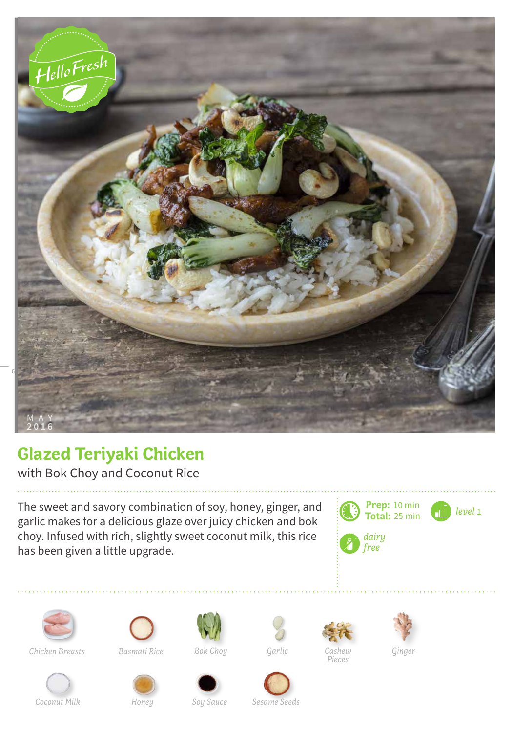

## **Glazed Teriyaki Chicken**

with Bok Choy and Coconut Rice

The sweet and savory combination of soy, honey, ginger, and garlic makes for a delicious glaze over juicy chicken and bok choy. Infused with rich, slightly sweet coconut milk, this rice has been given a little upgrade.







*Chicken Breasts Basmati Rice Bok Choy Ginger*



*Garlic*